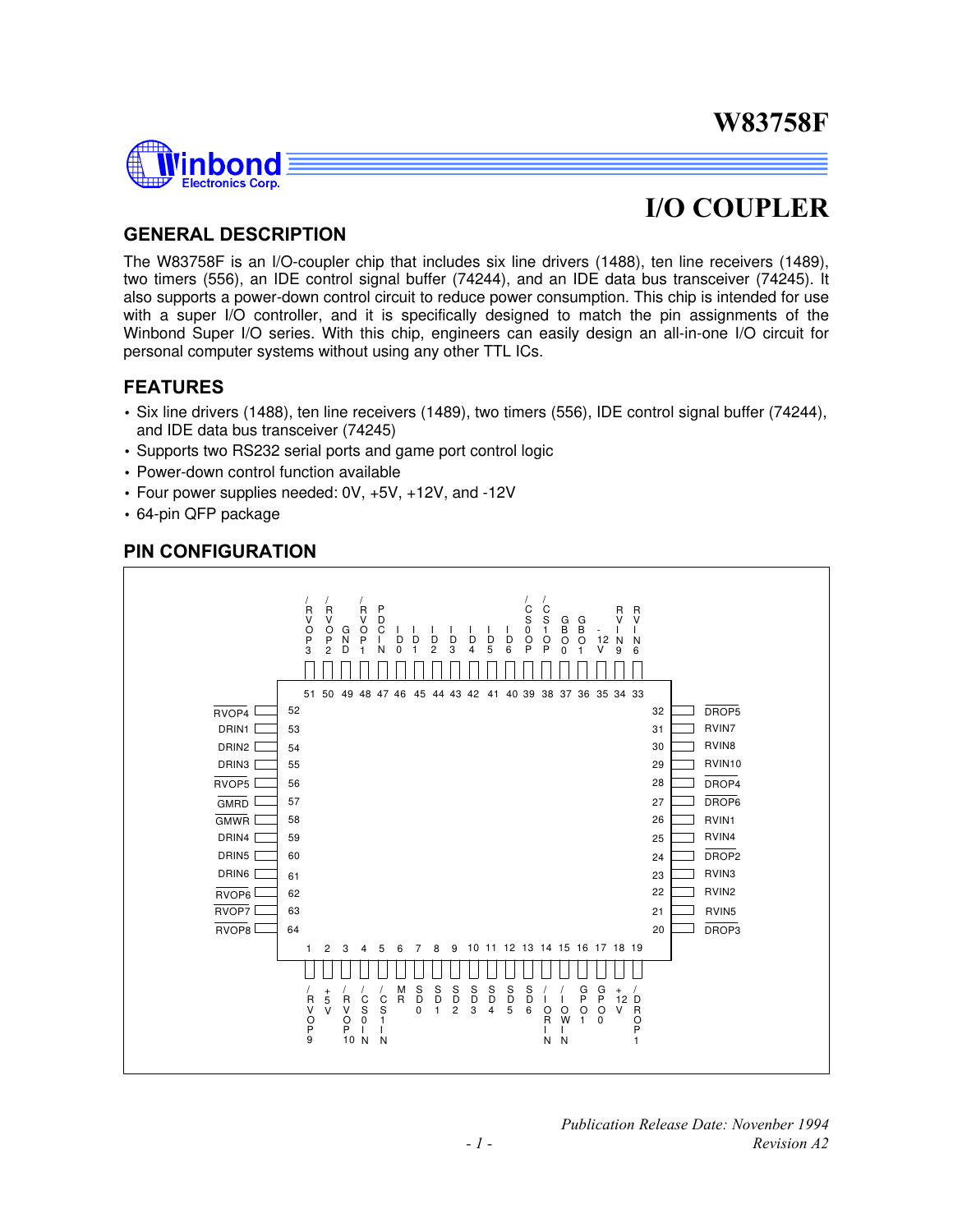

## **I/O COUPLER**

### **GENERAL DESCRIPTION**

The W83758F is an I/O-coupler chip that includes six line drivers (1488), ten line receivers (1489), two timers (556), an IDE control signal buffer (74244), and an IDE data bus transceiver (74245). It also supports a power-down control circuit to reduce power consumption. This chip is intended for use with a super I/O controller, and it is specifically designed to match the pin assignments of the Winbond Super I/O series. With this chip, engineers can easily design an all-in-one I/O circuit for personal computer systems without using any other TTL ICs.

### **FEATURES**

- Six line drivers (1488), ten line receivers (1489), two timers (556), IDE control signal buffer (74244), and IDE data bus transceiver (74245)
- Supports two RS232 serial ports and game port control logic
- Power-down control function available
- Four power supplies needed: 0V, +5V, +12V, and -12V
- 64-pin QFP package

### **PIN CONFIGURATION**



*Publication Release Date: Novenber 1994 - 1 - Revision A2*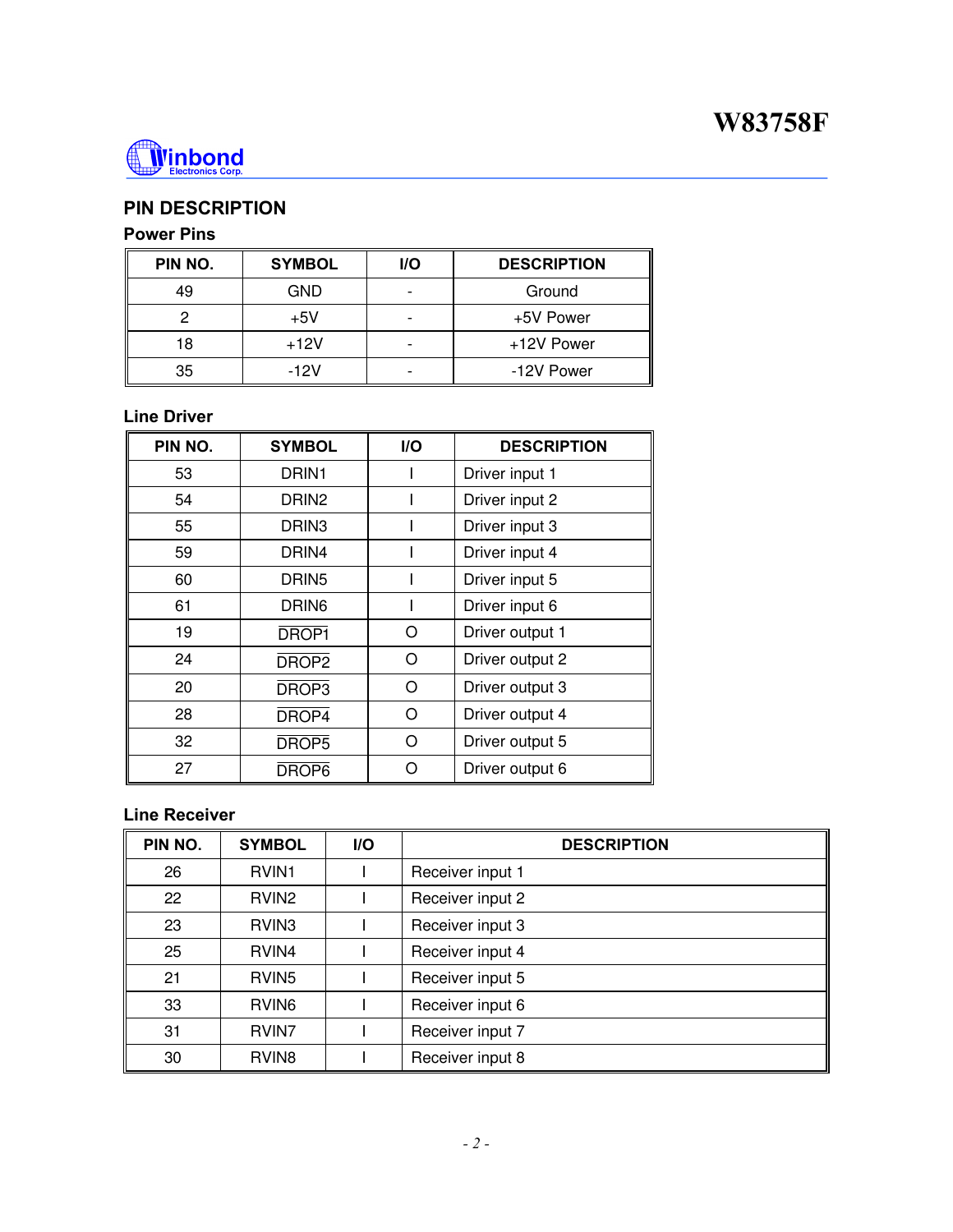

## **PIN DESCRIPTION**

## **Power Pins**

| PIN NO. | <b>SYMBOL</b> | <b>I/O</b> | <b>DESCRIPTION</b> |
|---------|---------------|------------|--------------------|
| 49      | <b>GND</b>    |            | Ground             |
| റ       | $+5V$         |            | +5V Power          |
| 18      | $+12V$        |            | +12V Power         |
| 35      | $-12V$        |            | -12V Power         |

### **Line Driver**

| PIN NO. | <b>SYMBOL</b>     | <b>I/O</b>           | <b>DESCRIPTION</b> |
|---------|-------------------|----------------------|--------------------|
| 53      | DRIN <sub>1</sub> | Driver input 1       |                    |
| 54      | DRIN <sub>2</sub> |                      | Driver input 2     |
| 55      | DRIN3             |                      | Driver input 3     |
| 59      | DRIN4             |                      | Driver input 4     |
| 60      | DRIN <sub>5</sub> |                      | Driver input 5     |
| 61      | DRIN <sub>6</sub> |                      | Driver input 6     |
| 19      | DROP1             | Ω<br>Driver output 1 |                    |
| 24      | DROP <sub>2</sub> | Driver output 2<br>O |                    |
| 20      | DROP <sub>3</sub> | O                    | Driver output 3    |
| 28      | DROP <sub>4</sub> | Ω<br>Driver output 4 |                    |
| 32      | DROP5             | Ω<br>Driver output 5 |                    |
| 27      | DROP6             | Ω                    | Driver output 6    |

### **Line Receiver**

| PIN NO. | <b>SYMBOL</b>     | <b>I/O</b> | <b>DESCRIPTION</b> |
|---------|-------------------|------------|--------------------|
| 26      | RVIN <sub>1</sub> |            | Receiver input 1   |
| 22      | RVIN <sub>2</sub> |            | Receiver input 2   |
| 23      | RVIN <sub>3</sub> |            | Receiver input 3   |
| 25      | RVIN4             |            | Receiver input 4   |
| 21      | RVIN <sub>5</sub> |            | Receiver input 5   |
| 33      | RVIN <sub>6</sub> |            | Receiver input 6   |
| 31      | RVIN <sub>7</sub> |            | Receiver input 7   |
| 30      | RVIN <sub>8</sub> |            | Receiver input 8   |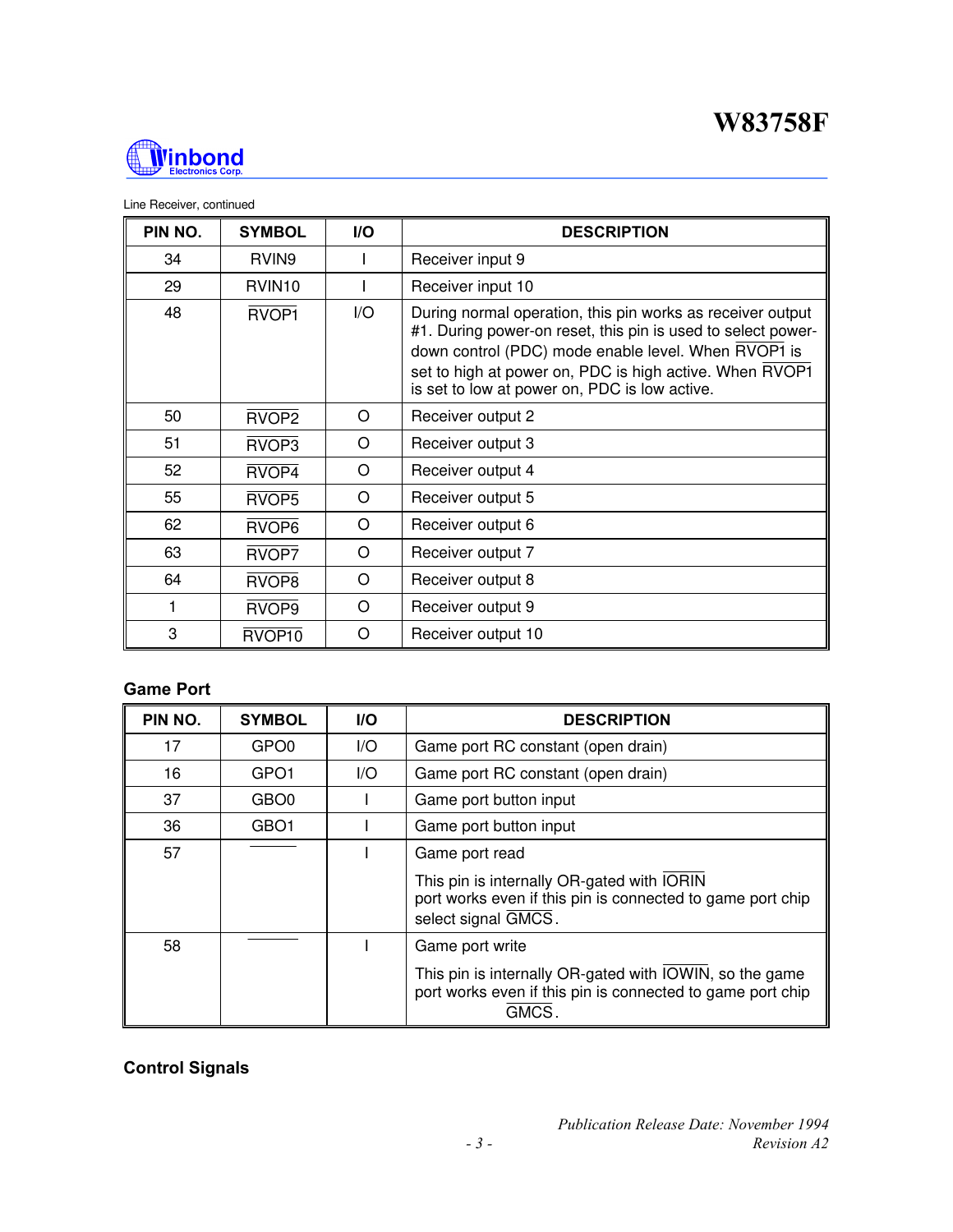

#### Line Receiver, continued

| PIN NO. | <b>SYMBOL</b>      | <b>I/O</b> | <b>DESCRIPTION</b>                                                                                                                                                                                                                                                                            |
|---------|--------------------|------------|-----------------------------------------------------------------------------------------------------------------------------------------------------------------------------------------------------------------------------------------------------------------------------------------------|
| 34      | RVIN <sub>9</sub>  |            | Receiver input 9                                                                                                                                                                                                                                                                              |
| 29      | RVIN <sub>10</sub> |            | Receiver input 10                                                                                                                                                                                                                                                                             |
| 48      | RVOP <sub>1</sub>  | I/O        | During normal operation, this pin works as receiver output<br>#1. During power-on reset, this pin is used to select power-<br>down control (PDC) mode enable level. When RVOP1 is<br>set to high at power on, PDC is high active. When RVOP1<br>is set to low at power on, PDC is low active. |
| 50      | RVOP <sub>2</sub>  | O          | Receiver output 2                                                                                                                                                                                                                                                                             |
| 51      | RVOP3              | O          | Receiver output 3                                                                                                                                                                                                                                                                             |
| 52      | RVOP <sub>4</sub>  | O          | Receiver output 4                                                                                                                                                                                                                                                                             |
| 55      | RVOP5              | $\Omega$   | Receiver output 5                                                                                                                                                                                                                                                                             |
| 62      | RVOP <sub>6</sub>  | $\Omega$   | Receiver output 6                                                                                                                                                                                                                                                                             |
| 63      | RVOP7              | O          | Receiver output 7                                                                                                                                                                                                                                                                             |
| 64      | RVOP8              | $\Omega$   | Receiver output 8                                                                                                                                                                                                                                                                             |
|         | RVOP9              | O          | Receiver output 9                                                                                                                                                                                                                                                                             |
| 3       | RVOP10             | O          | Receiver output 10                                                                                                                                                                                                                                                                            |

### **Game Port**

| PIN NO. | <b>SYMBOL</b>    | <b>I/O</b> | <b>DESCRIPTION</b>                                                                                                                   |
|---------|------------------|------------|--------------------------------------------------------------------------------------------------------------------------------------|
| 17      | GPO <sub>0</sub> | I/O        | Game port RC constant (open drain)                                                                                                   |
| 16      | GPO <sub>1</sub> | 1/O        | Game port RC constant (open drain)                                                                                                   |
| 37      | GBO <sub>0</sub> |            | Game port button input                                                                                                               |
| 36      | GBO <sub>1</sub> |            | Game port button input                                                                                                               |
| 57      |                  |            | Game port read                                                                                                                       |
|         |                  |            | This pin is internally OR-gated with IORIN<br>port works even if this pin is connected to game port chip<br>select signal GMCS.      |
| 58      |                  |            | Game port write                                                                                                                      |
|         |                  |            | This pin is internally OR-gated with IOWIN, so the game<br>port works even if this pin is connected to game port chip<br><b>GMCS</b> |

## **Control Signals**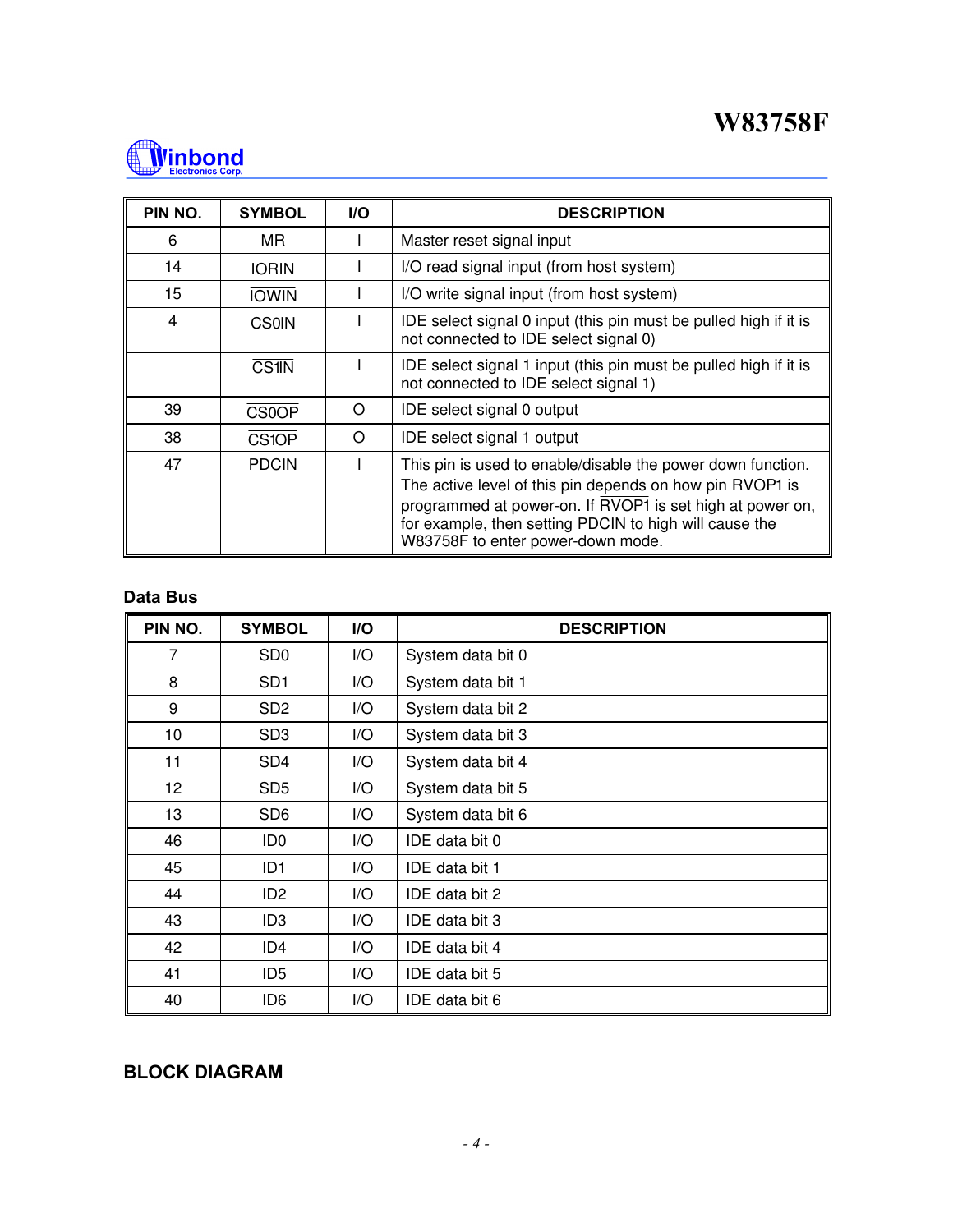

| PIN NO. | <b>SYMBOL</b> | <b>I/O</b> | <b>DESCRIPTION</b>                                                                                                                                                                                                                                                                  |
|---------|---------------|------------|-------------------------------------------------------------------------------------------------------------------------------------------------------------------------------------------------------------------------------------------------------------------------------------|
| 6       | MR.           |            | Master reset signal input                                                                                                                                                                                                                                                           |
| 14      | <b>IORIN</b>  |            | I/O read signal input (from host system)                                                                                                                                                                                                                                            |
| 15      | <b>IOWIN</b>  |            | I/O write signal input (from host system)                                                                                                                                                                                                                                           |
| 4       | <b>CS0IN</b>  |            | IDE select signal 0 input (this pin must be pulled high if it is<br>not connected to IDE select signal 0)                                                                                                                                                                           |
|         | <b>CS1IN</b>  |            | IDE select signal 1 input (this pin must be pulled high if it is<br>not connected to IDE select signal 1)                                                                                                                                                                           |
| 39      | <b>CS0OP</b>  | $\Omega$   | IDE select signal 0 output                                                                                                                                                                                                                                                          |
| 38      | <b>CS1OP</b>  | $\Omega$   | IDE select signal 1 output                                                                                                                                                                                                                                                          |
| 47      | <b>PDCIN</b>  |            | This pin is used to enable/disable the power down function.<br>The active level of this pin depends on how pin RVOP1 is<br>programmed at power-on. If RVOP1 is set high at power on,<br>for example, then setting PDCIN to high will cause the<br>W83758F to enter power-down mode. |

#### **Data Bus**

| PIN NO. | <b>SYMBOL</b>   | I/O | <b>DESCRIPTION</b> |
|---------|-----------------|-----|--------------------|
| 7       | SD <sub>0</sub> | I/O | System data bit 0  |
| 8       | SD <sub>1</sub> | I/O | System data bit 1  |
| 9       | SD <sub>2</sub> | I/O | System data bit 2  |
| 10      | SD <sub>3</sub> | I/O | System data bit 3  |
| 11      | SD4             | I/O | System data bit 4  |
| 12      | SD <sub>5</sub> | I/O | System data bit 5  |
| 13      | SD <sub>6</sub> | I/O | System data bit 6  |
| 46      | ID0             | I/O | IDE data bit 0     |
| 45      | ID <sub>1</sub> | I/O | IDE data bit 1     |
| 44      | ID <sub>2</sub> | I/O | IDE data bit 2     |
| 43      | ID <sub>3</sub> | I/O | IDE data bit 3     |
| 42      | ID4             | I/O | IDE data bit 4     |
| 41      | ID <sub>5</sub> | I/O | IDE data bit 5     |
| 40      | ID6             | I/O | IDE data bit 6     |

## **BLOCK DIAGRAM**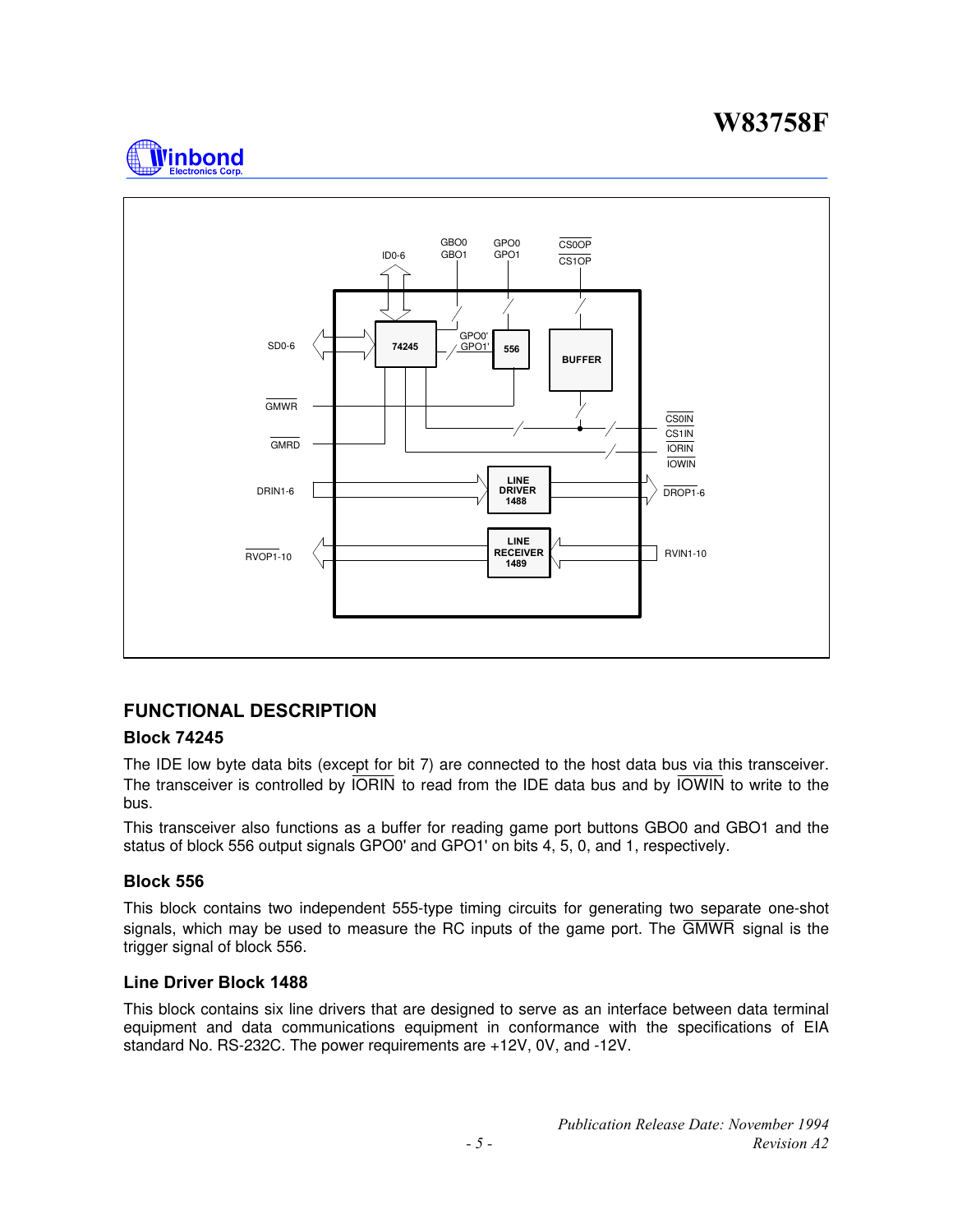



### **FUNCTIONAL DESCRIPTION**

#### **Block 74245**

The IDE low byte data bits (except for bit 7) are connected to the host data bus via this transceiver. The transceiver is controlled by  $\overline{ORIN}$  to read from the IDE data bus and by  $\overline{O}\overline{O}\overline{N}$  to write to the bus.

This transceiver also functions as a buffer for reading game port buttons GBO0 and GBO1 and the status of block 556 output signals GPO0' and GPO1' on bits 4, 5, 0, and 1, respectively.

#### **Block 556**

This block contains two independent 555-type timing circuits for generating two separate one-shot signals, which may be used to measure the RC inputs of the game port. The GMWR signal is the trigger signal of block 556.

#### **Line Driver Block 1488**

This block contains six line drivers that are designed to serve as an interface between data terminal equipment and data communications equipment in conformance with the specifications of EIA standard No. RS-232C. The power requirements are +12V, 0V, and -12V.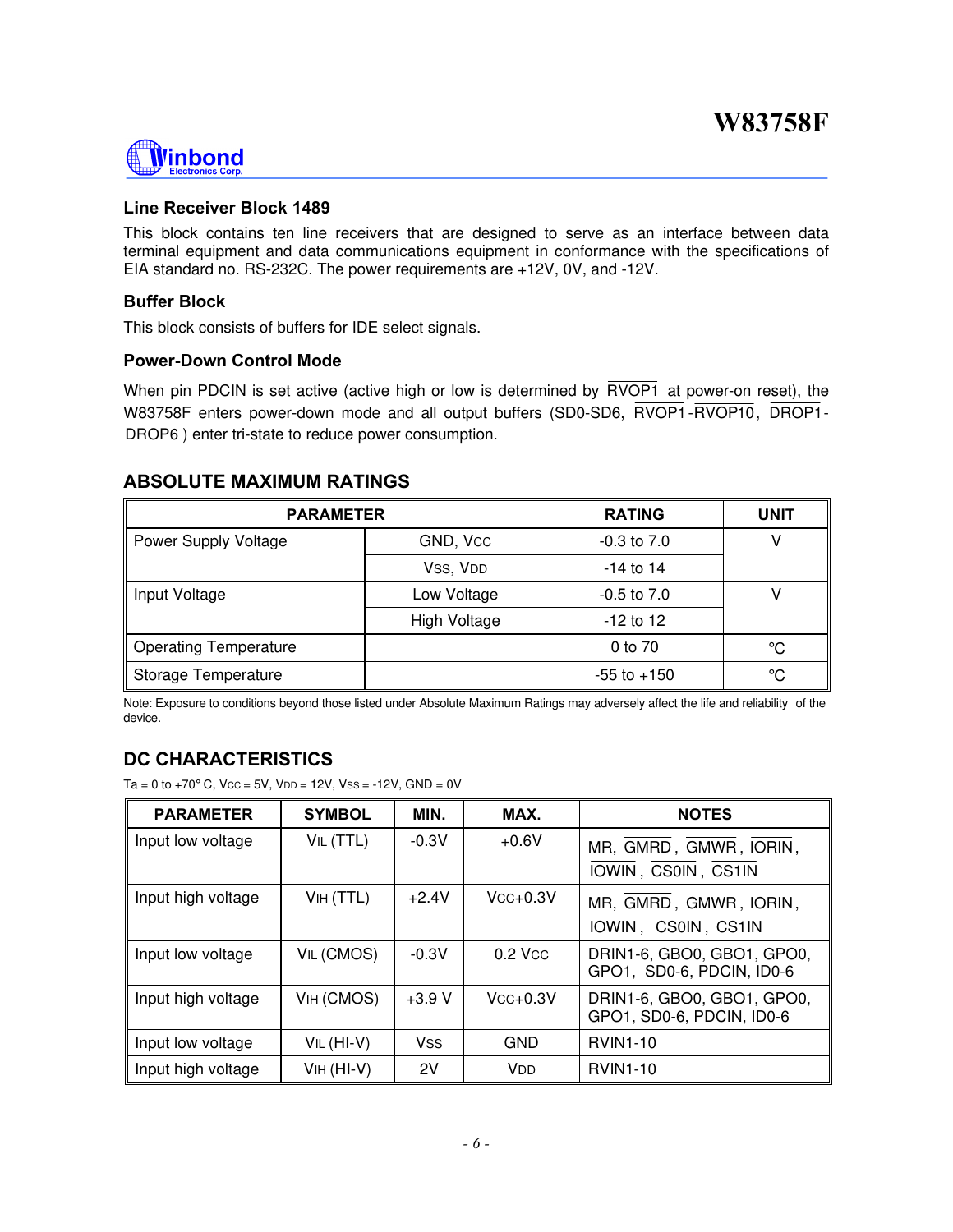# Winbond

#### **Line Receiver Block 1489**

This block contains ten line receivers that are designed to serve as an interface between data terminal equipment and data communications equipment in conformance with the specifications of EIA standard no. RS-232C. The power requirements are +12V, 0V, and -12V.

#### **Buffer Block**

This block consists of buffers for IDE select signals.

#### **Power-Down Control Mode**

When pin PDCIN is set active (active high or low is determined by RVOP1 at power-on reset), the W83758F enters power-down mode and all output buffers (SD0-SD6, RVOP1 - RVOP10, DROP1 -DROP6 ) enter tri-state to reduce power consumption.

### **ABSOLUTE MAXIMUM RATINGS**

| <b>PARAMETER</b>             | <b>RATING</b>   | <b>UNIT</b>     |    |
|------------------------------|-----------------|-----------------|----|
| Power Supply Voltage         | $-0.3$ to $7.0$ |                 |    |
|                              | VSS, VDD        | $-14$ to 14     |    |
| Low Voltage<br>Input Voltage |                 | $-0.5$ to $7.0$ |    |
|                              | High Voltage    | $-12$ to 12     |    |
| <b>Operating Temperature</b> |                 | 0 to 70         | °C |
| Storage Temperature          |                 | $-55$ to $+150$ | °C |

Note: Exposure to conditions beyond those listed under Absolute Maximum Ratings may adversely affect the life and reliability of the device.

## **DC CHARACTERISTICS**

 $Ta = 0$  to  $+70^{\circ}$  C,  $Vcc = 5V$ ,  $VDD = 12V$ ,  $VSS = -12V$ ,  $GND = 0V$ 

| <b>PARAMETER</b>   | <b>SYMBOL</b> | MIN.       | MAX.                  | <b>NOTES</b>                                            |
|--------------------|---------------|------------|-----------------------|---------------------------------------------------------|
| Input low voltage  | VIL (TTL)     | $-0.3V$    | $+0.6V$               | MR, GMRD, GMWR, IORIN,<br>IOWIN, CS0IN, CS1IN           |
| Input high voltage | VIH (TTL)     | $+2.4V$    | $V$ CC $+0.3V$        | MR, GMRD, GMWR, IORIN,<br>IOWIN, CS0IN, CS1IN           |
| Input low voltage  | VIL (CMOS)    | $-0.3V$    | $0.2$ Vcc             | DRIN1-6, GBO0, GBO1, GPO0,<br>GPO1, SD0-6, PDCIN, ID0-6 |
| Input high voltage | VIH (CMOS)    | $+3.9 V$   | $Vcc+0.3V$            | DRIN1-6, GBO0, GBO1, GPO0,<br>GPO1, SD0-6, PDCIN, ID0-6 |
| Input low voltage  | VIL (HI-V)    | <b>Vss</b> | <b>GND</b>            | <b>RVIN1-10</b>                                         |
| Input high voltage | $VIH$ (HI-V)  | 2V         | <b>V</b> <sub>D</sub> | <b>RVIN1-10</b>                                         |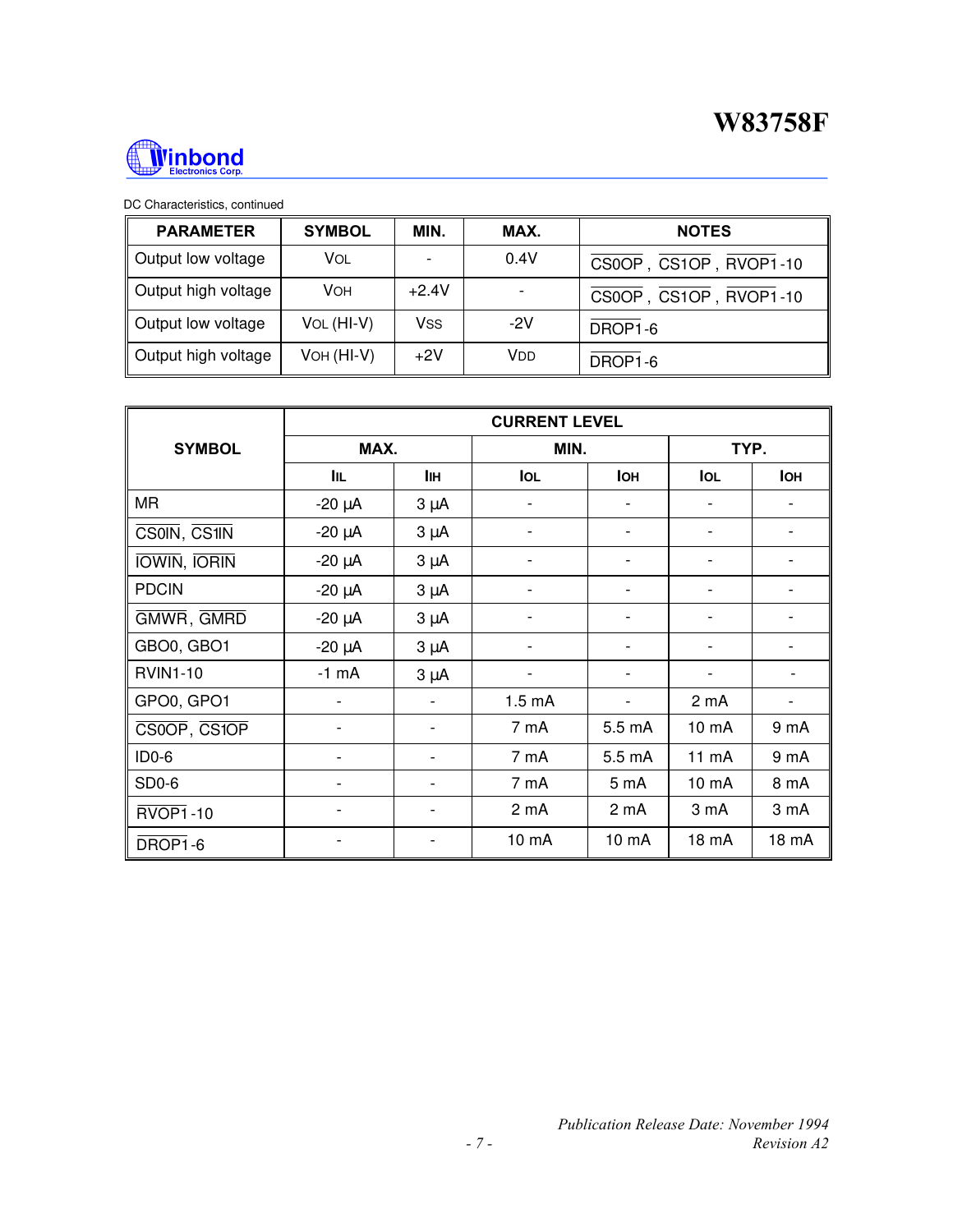

#### DC Characteristics, continued

| <b>PARAMETER</b>    | <b>SYMBOL</b> | MIN.    | MAX.  | <b>NOTES</b>           |  |  |
|---------------------|---------------|---------|-------|------------------------|--|--|
| Output low voltage  | Vol           | ٠       | 0.4V  | CS0OP, CS1OP, RVOP1-10 |  |  |
| Output high voltage | VOH           | $+2.4V$ |       | CS0OP, CS1OP, RVOP1-10 |  |  |
| Output low voltage  | VOL (HI-V)    | Vss     | $-2V$ | DROP1-6                |  |  |
| Output high voltage | VOH (HI-V)    | $+2V$   | VDD   | DROP1-6                |  |  |

|                     | <b>CURRENT LEVEL</b> |                          |                    |                          |                          |                  |  |
|---------------------|----------------------|--------------------------|--------------------|--------------------------|--------------------------|------------------|--|
| <b>SYMBOL</b>       | MAX.                 |                          |                    | MIN.                     |                          | TYP.             |  |
|                     | Iщ.                  | IІн                      | <b>IOL</b>         | <b>IOH</b>               | <b>IOL</b>               | <b>IOH</b>       |  |
| <b>MR</b>           | $-20 \mu A$          | $3 \mu A$                | $\overline{a}$     | ٠                        | $\overline{\phantom{a}}$ |                  |  |
| CS0IN, CS1IN        | $-20 \mu A$          | $3 \mu A$                |                    |                          | $\overline{\phantom{a}}$ |                  |  |
| <b>IOWIN, IORIN</b> | $-20 \mu A$          | $3 \mu A$                |                    |                          |                          |                  |  |
| <b>PDCIN</b>        | $-20 \mu A$          | $3 \mu A$                | $\overline{a}$     | $\overline{\phantom{0}}$ | $\overline{\phantom{a}}$ |                  |  |
| GMWR, GMRD          | $-20 \mu A$          | $3 \mu A$                |                    |                          |                          |                  |  |
| GBO0, GBO1          | $-20 \mu A$          | $3 \mu A$                |                    |                          | $\overline{\phantom{a}}$ |                  |  |
| <b>RVIN1-10</b>     | $-1$ mA              | $3 \mu A$                | -                  | -                        | $\overline{\phantom{a}}$ |                  |  |
| GPO0, GPO1          |                      | $\overline{\phantom{a}}$ | 1.5 <sub>m</sub> A | $\blacksquare$           | 2 mA                     |                  |  |
| CS0OP, CS1OP        |                      |                          | 7 mA               | 5.5 mA                   | 10 mA                    | 9 <sub>m</sub> A |  |
| $ID0-6$             |                      | -                        | 7 mA               | 5.5 mA                   | 11 mA                    | 9 mA             |  |
| SD <sub>0</sub> -6  | ۰                    | -                        | 7 mA               | 5 <sub>m</sub> A         | 10 mA                    | 8 mA             |  |
| <b>RVOP1-10</b>     |                      | $\overline{\phantom{a}}$ | 2 <sub>m</sub> A   | 2 <sub>m</sub> A         | 3 mA                     | 3 mA             |  |
| DROP1-6             |                      |                          | 10 mA              | $10 \text{ mA}$          | 18 mA                    | 18 mA            |  |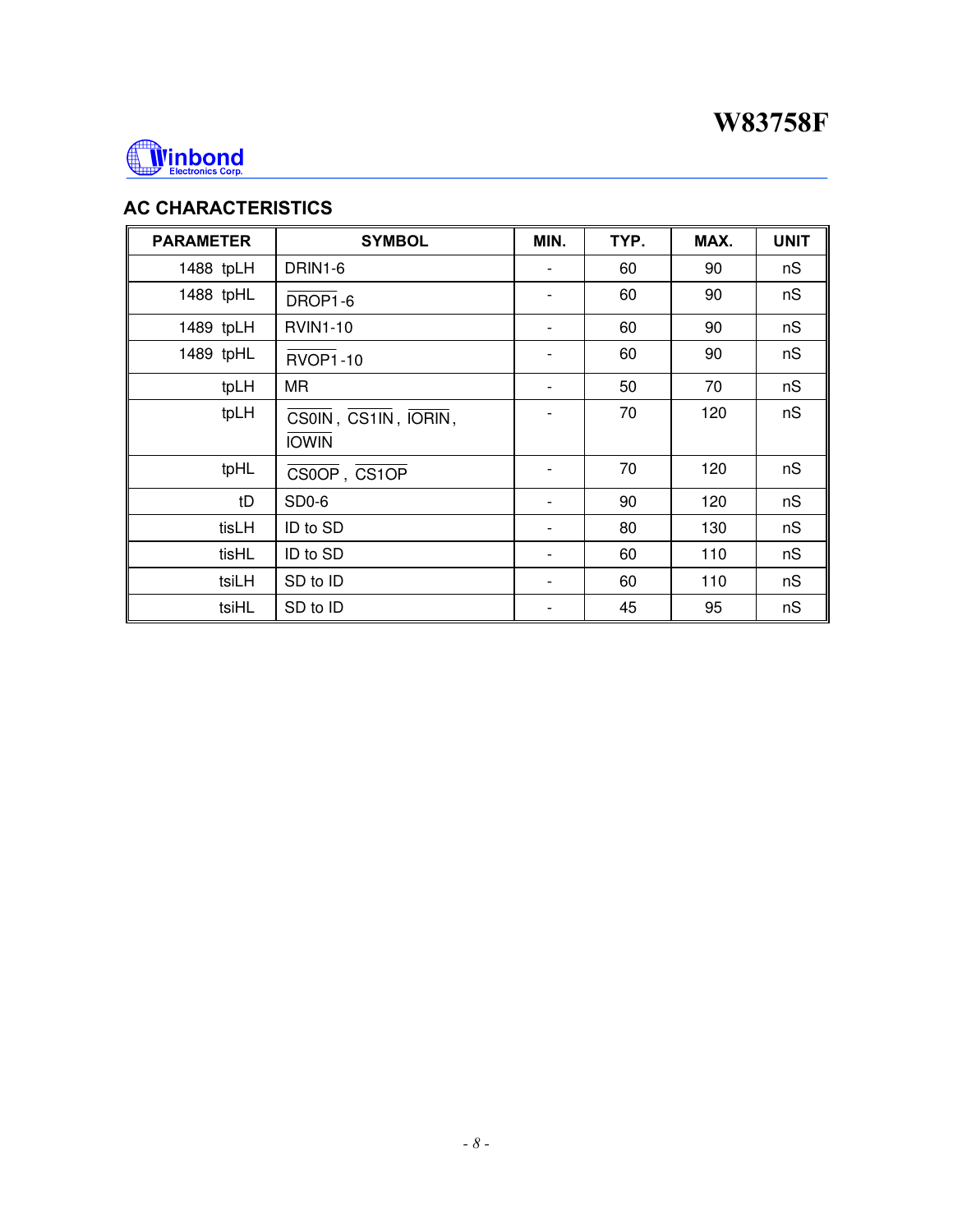

## **AC CHARACTERISTICS**

| <b>PARAMETER</b> | <b>SYMBOL</b>                        | MIN.                         | TYP. | MAX. | <b>UNIT</b> |
|------------------|--------------------------------------|------------------------------|------|------|-------------|
| 1488 tpLH        | DRIN1-6                              | $\qquad \qquad \blacksquare$ | 60   | 90   | nS          |
| 1488 tpHL        | DROP1-6                              | $\qquad \qquad \blacksquare$ | 60   | 90   | nS          |
| 1489 tpLH        | <b>RVIN1-10</b>                      | -                            | 60   | 90   | nS          |
| 1489 tpHL        | <b>RVOP1-10</b>                      |                              | 60   | 90   | nS          |
| tpLH             | <b>MR</b>                            | -                            | 50   | 70   | nS          |
| tpLH             | CS0IN, CS1IN, IORIN,<br><b>IOWIN</b> |                              | 70   | 120  | nS          |
| tpHL             | CS0OP, CS1OP                         |                              | 70   | 120  | nS          |
| tD               | SD <sub>0</sub> -6                   |                              | 90   | 120  | nS          |
| tisLH            | ID to SD                             |                              | 80   | 130  | nS          |
| tisHL            | ID to SD                             |                              | 60   | 110  | nS          |
| tsiLH            | SD to ID                             |                              | 60   | 110  | nS          |
| tsiHL            | SD to ID                             |                              | 45   | 95   | nS          |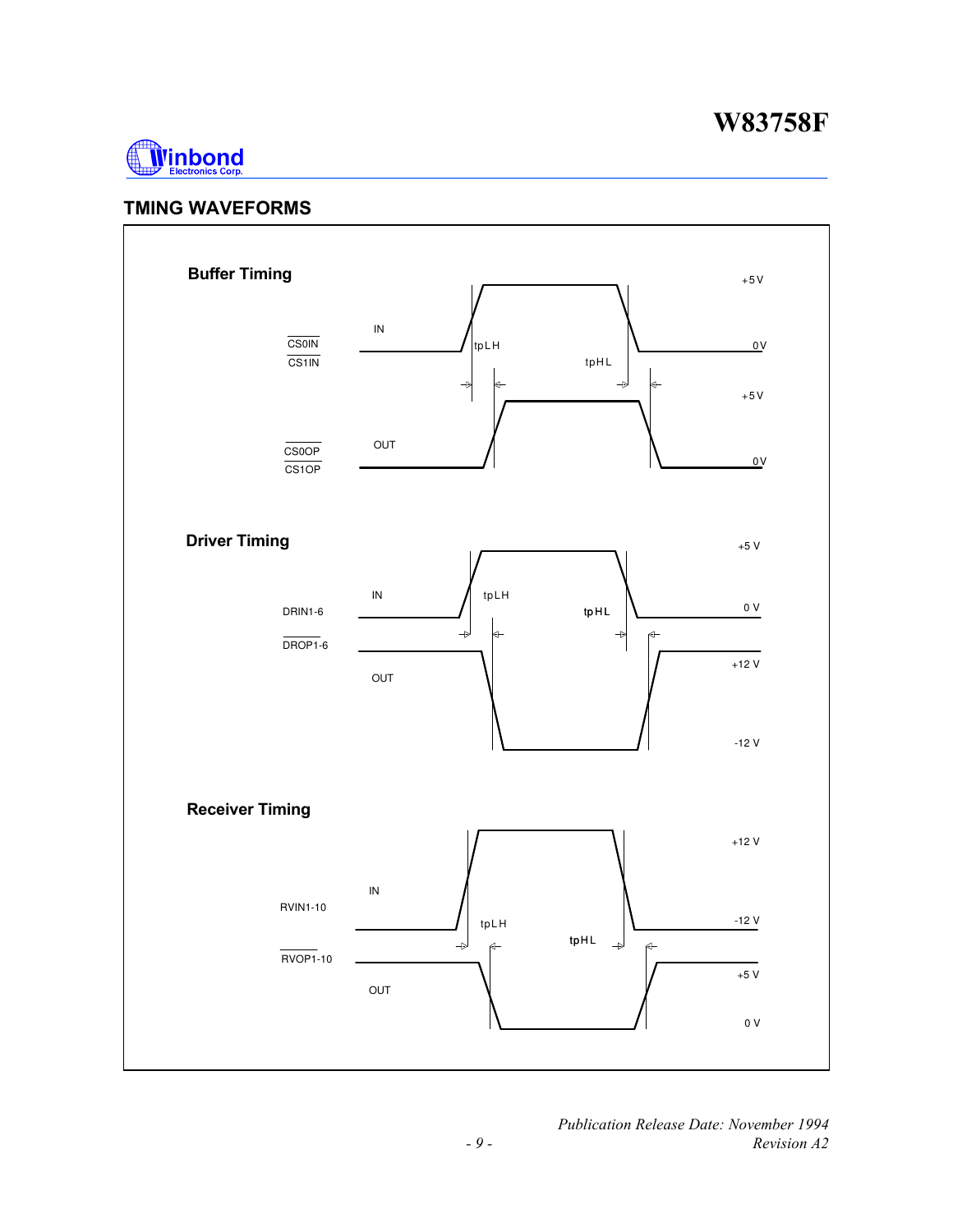

### **TMING WAVEFORMS**



 *Publication Release Date: November 1994 - 9 - Revision A2*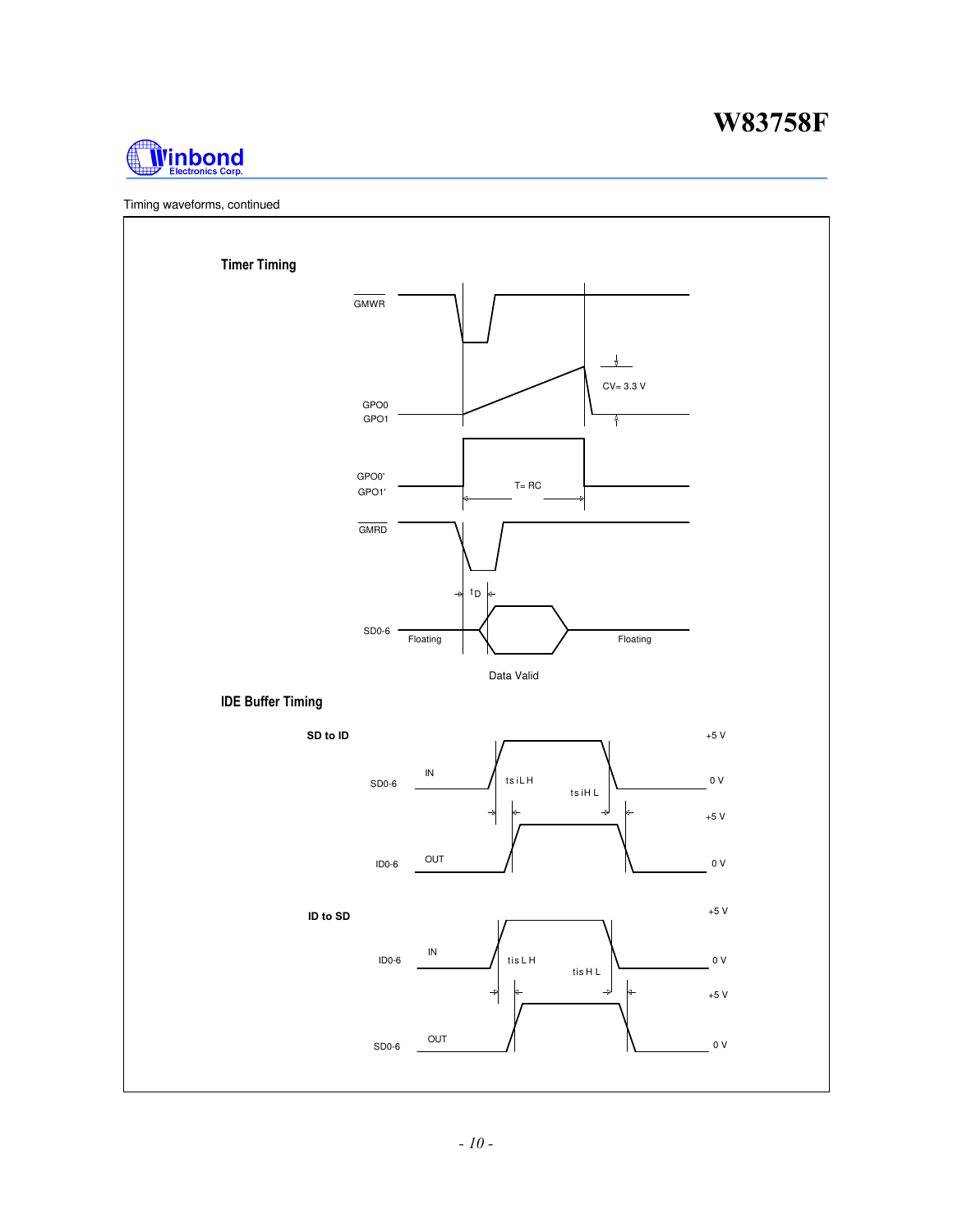



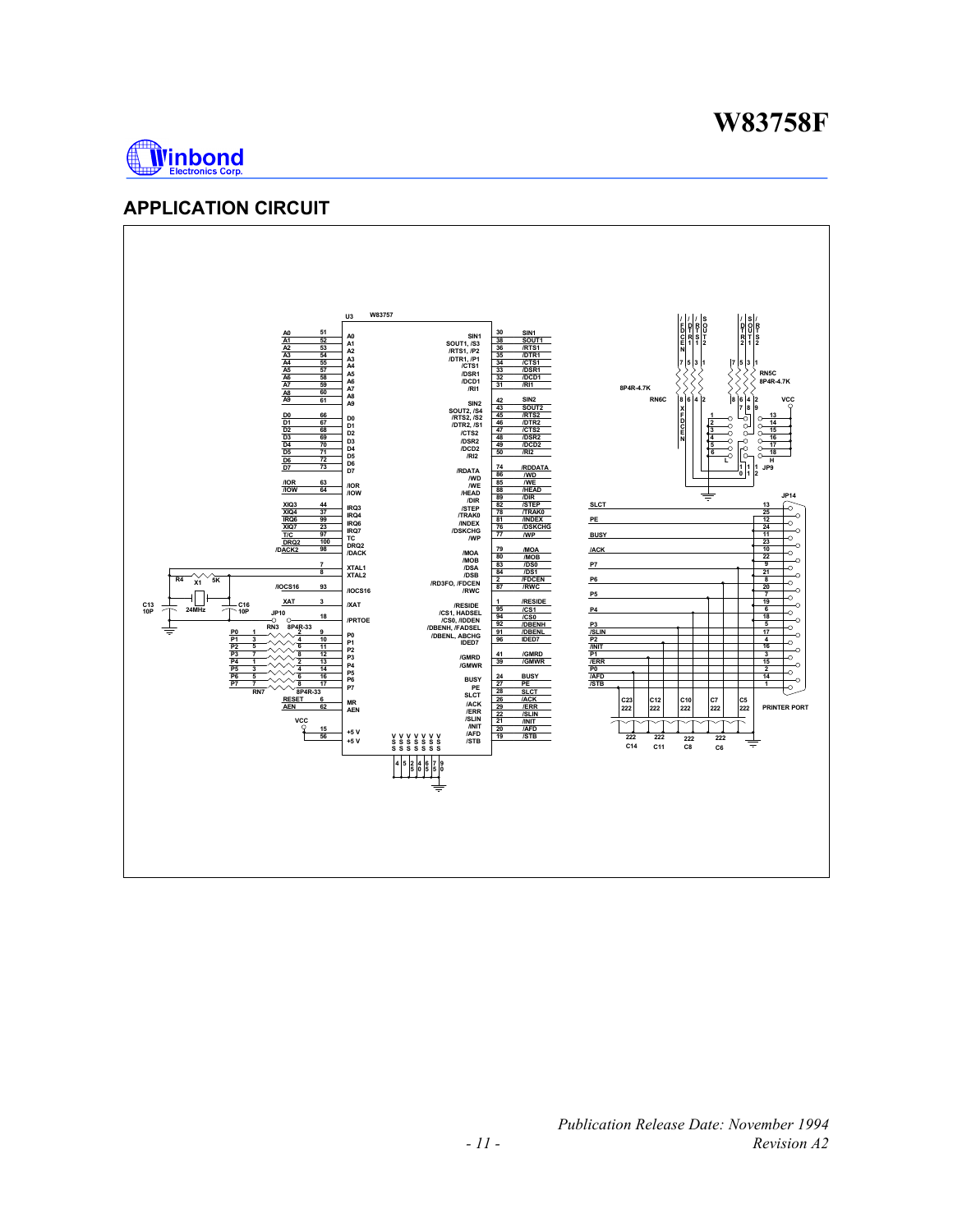

### **APPLICATION CIRCUIT**

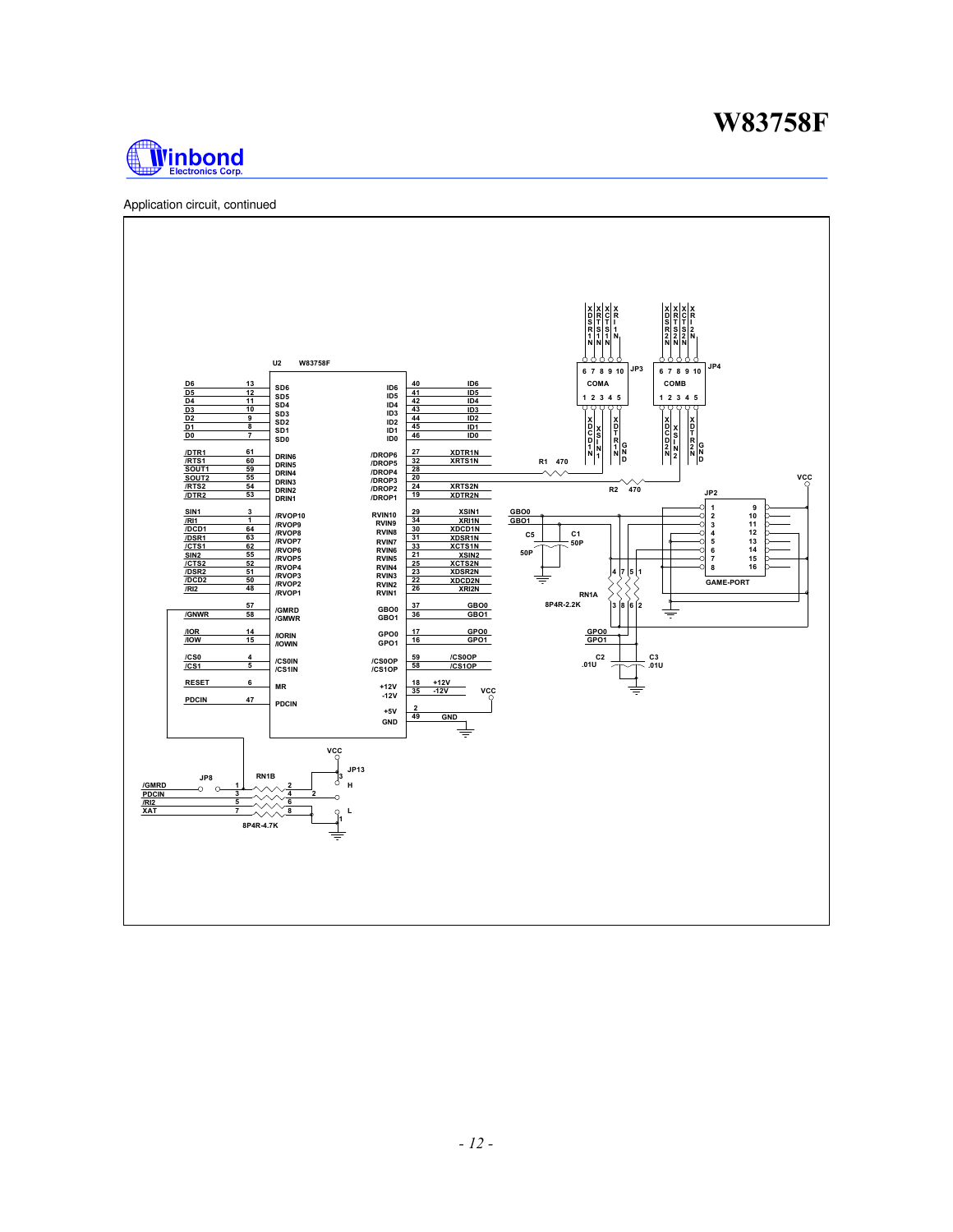

Application circuit, continued

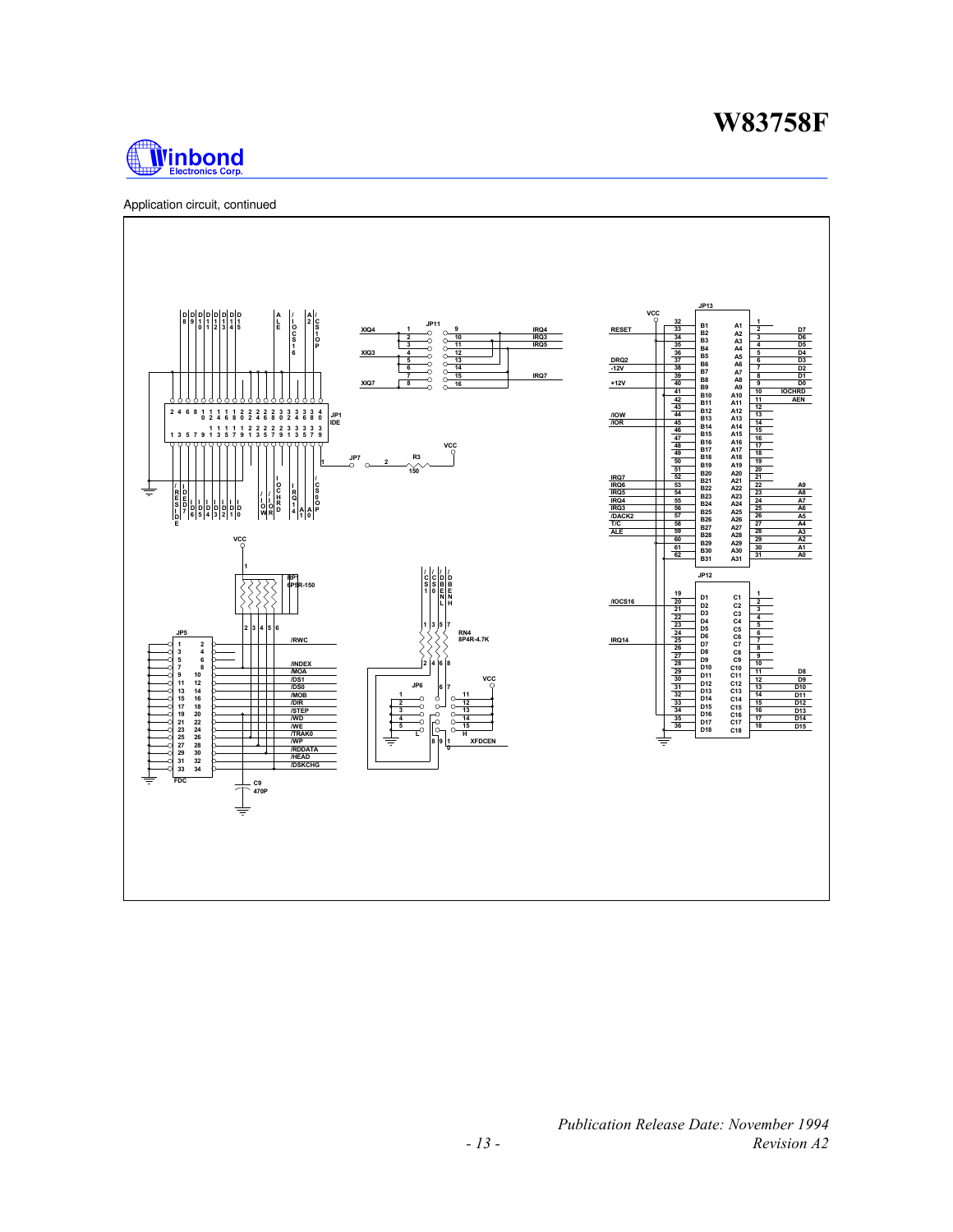

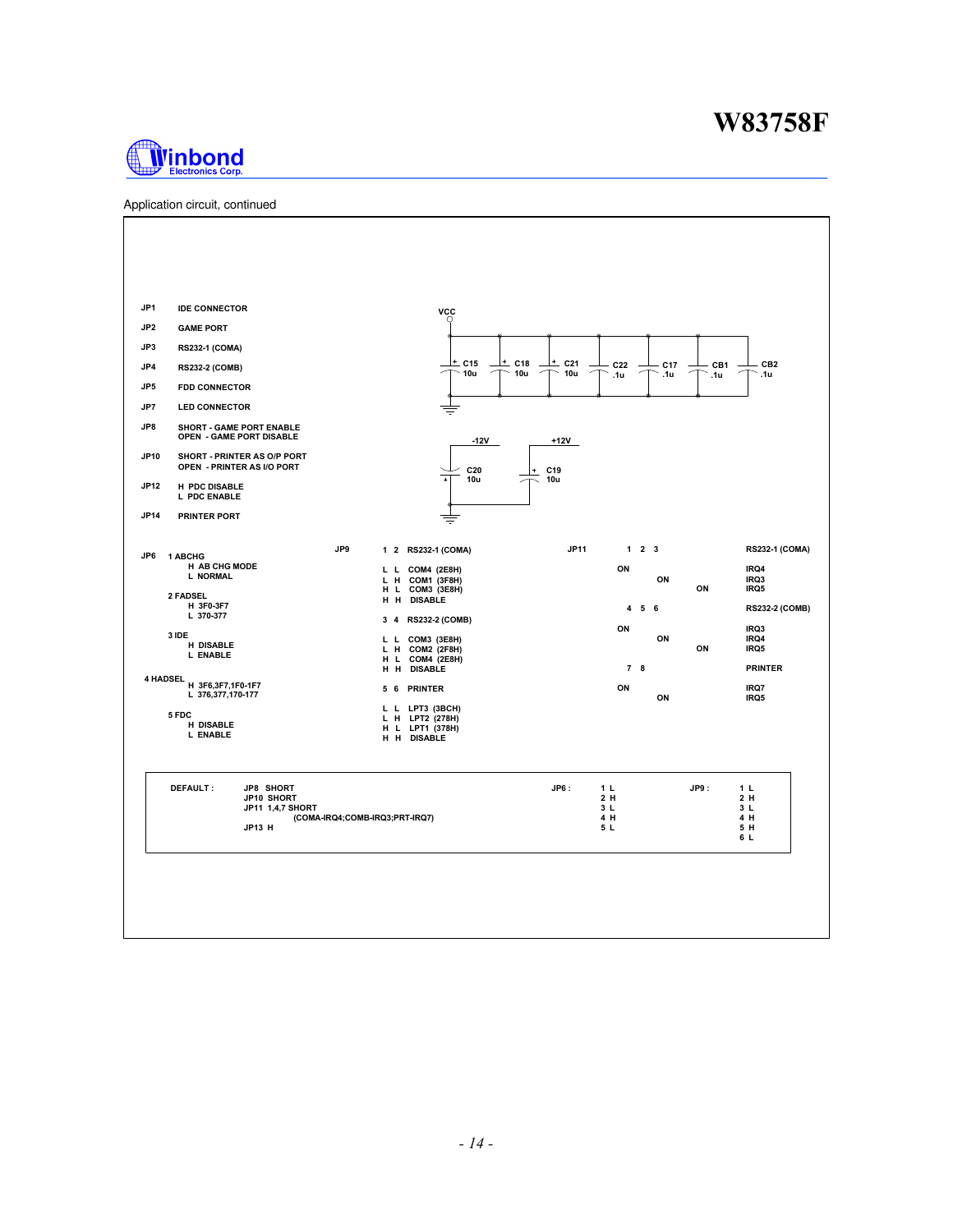

Application circuit, continued